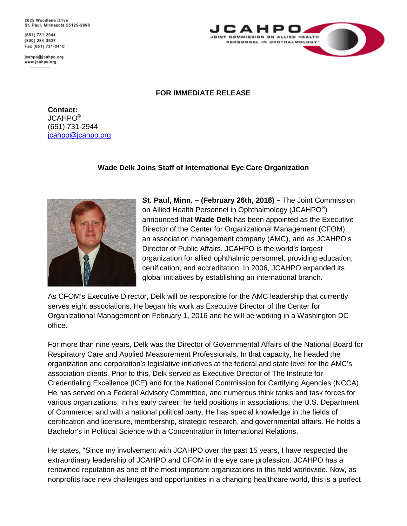2025 Woodlane Drive St. Paul, Minnesota 55125-2998

(651) 731-2944 (800) 284-3937 Fax (651) 731-0410

jcahpo@jcahpo.org www.jcahpo.org



## **FOR IMMEDIATE RELEASE**

**Contact:**  JCAHPO® (651) 731-2944 [jcahpo@jcahpo.org](mailto:jcahpo@jcahpo.org)

## **Wade Delk Joins Staff of International Eye Care Organization**



**St. Paul, Minn. – (February 26th, 2016) –** The Joint Commission on Allied Health Personnel in Ophthalmology (JCAHPO<sup>®</sup>) announced that **Wade Delk** has been appointed as the Executive Director of the Center for Organizational Management (CFOM), an association management company (AMC), and as JCAHPO's Director of Public Affairs. JCAHPO is the world's largest organization for allied ophthalmic personnel, providing education, certification, and accreditation. In 2006, JCAHPO expanded its global initiatives by establishing an international branch.

As CFOM's Executive Director, Delk will be responsible for the AMC leadership that currently serves eight associations. He began his work as Executive Director of the Center for Organizational Management on February 1, 2016 and he will be working in a Washington DC office.

For more than nine years, Delk was the Director of Governmental Affairs of the National Board for Respiratory Care and Applied Measurement Professionals. In that capacity, he headed the organization and corporation's legislative initiatives at the federal and state level for the AMC's association clients. Prior to this, Delk served as Executive Director of The Institute for Credentialing Excellence (ICE) and for the National Commission for Certifying Agencies (NCCA). He has served on a Federal Advisory Committee, and numerous think tanks and task forces for various organizations. In his early career, he held positions in associations, the U.S. Department of Commerce, and with a national political party. He has special knowledge in the fields of certification and licensure, membership, strategic research, and governmental affairs. He holds a Bachelor's in Political Science with a Concentration in International Relations.

He states, "Since my involvement with JCAHPO over the past 15 years, I have respected the extraordinary leadership of JCAHPO and CFOM in the eye care profession. JCAHPO has a renowned reputation as one of the most important organizations in this field worldwide. Now, as nonprofits face new challenges and opportunities in a changing healthcare world, this is a perfect